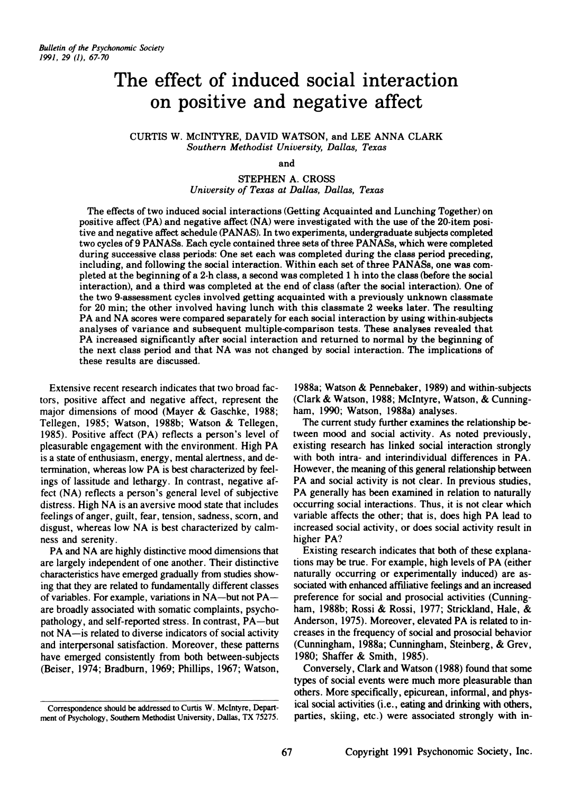# **The effect of induced social interaction on positive and negative affect**

CURTIS W. McINTYRE, DAVID WATSON, and LEE ANNA CLARK *Southern Methodist University, Dallas, Texas* 

and

# STEPHEN A. CROSS *University of Texas at Dallas, Dallas, Texas*

The effects of two induced social interactions (Getting Acquainted and Lunching Together) on positive affect (PA) and negative affect (NA) were investigated with the use of the 20-item positive and negative affect schedule (PANAS). In two experiments, undergraduate subjects completed two cycles of9 PANASs. Each cycle contained three sets of three PANASs, which were completed during successive class periods: One set each was completed during the class period preceding, including, and following the social interaction. Within each set of three PANASs, one was com· pleted at the beginning of a 2-h class, a second was completed 1 h into the class (before the social interaction), and a third was completed at the end of class (after the social interaction). One of the two 9-assessment cycles involved getting acquainted with a previously unknown classmate for 20 min; the other involved having lunch with this classmate 2 weeks later. The resulting PA and NA scores were compared separately for each social interaction by using within-subjects analyses of variance and subsequent multiple-comparison tests. These analyses revealed that PA increased significantly after social interaction and returned to normal by the beginning of the next class period and that NA was not changed by social interaction. The implications of these results are discussed.

Extensive recent research indicates that two broad factors, positive affect and negative affect, represent the major dimensions of mood (Mayer & Gaschke, 1988; Tellegen, 1985; Watson, 1988b; Watson & Tellegen, 1985). Positive affect (PA) reflects a person's level of pleasurable engagement with the environment. High PA is a state of enthusiasm, energy, mental alertness, and determination, whereas low PA is best characterized by feelings of lassitude and lethargy. In contrast, negative affect (NA) reflects a person's general level of subjective distress. High NA is an aversive mood state that includes feelings of anger, guilt, fear, tension, sadness, scorn, and disgust, whereas low NA is best characterized by calmness and serenity.

PA and NA are highly distinctive mood dimensions that are largely independent of one another. Their distinctive characteristics have emerged gradually from studies showing that they are related to fundamentally different classes of variables. For example, variations in NA-but not PAare broadly associated with somatic complaints, psychopathology, and self-reported stress. In contrast, PA-but not NA-is related to diverse indicators of social activity and interpersonal satisfaction. Moreover, these patterns have emerged consistently from both between-subjects (Beiser, 1974; Bradburn, 1969; Phillips, 1967; Watson,

1988a; Watson & Pennebaker, 1989) and within-subjects (Clark & Watson, 1988; Mcintyre, Watson, & Cunningham, 1990; Watson, 1988a) analyses.

The current study further examines the relationship between mood and social activity. As noted previously, existing research has linked social interaction strongly with both intra- and interindividual differences in PA. However, the meaning of this general relationship between PA and social activity is not clear. In previous studies, PA generally has been examined in relation to naturally occurring social interactions. Thus, it is not clear which variable affects the other; that is, does high PA lead to increased social activity, or does social activity result in higher PA?

Existing research indicates that both of these explanations may be true. For example, high levels of PA (either naturally occurring or experimentally induced) are associated with enhanced affiliative feelings and an increased preference for social and prosocial activities (Cunningham, 1988b; Rossi & Rossi, 1977; Strickland, Hale, & Anderson, 1975). Moreover, elevated PA is related to increases in the frequency of social and prosocial behavior (Cunningham, 1988a; Cunningham, Steinberg, & Grev, 1980; Shaffer & Smith, 1985).

Conversely, Clark and Watson (1988) found that some types of social events were much more pleasurable than others. More specifically, epicurean, informal, and physical social activities (i.e., eating and drinking with others, parties, skiing, etc.) were associated strongly with in-

Correspondence should be addressed to Curtis W. Mcintyre. Department of Psychology. Southern Methodist University. Dallas. TX 75275.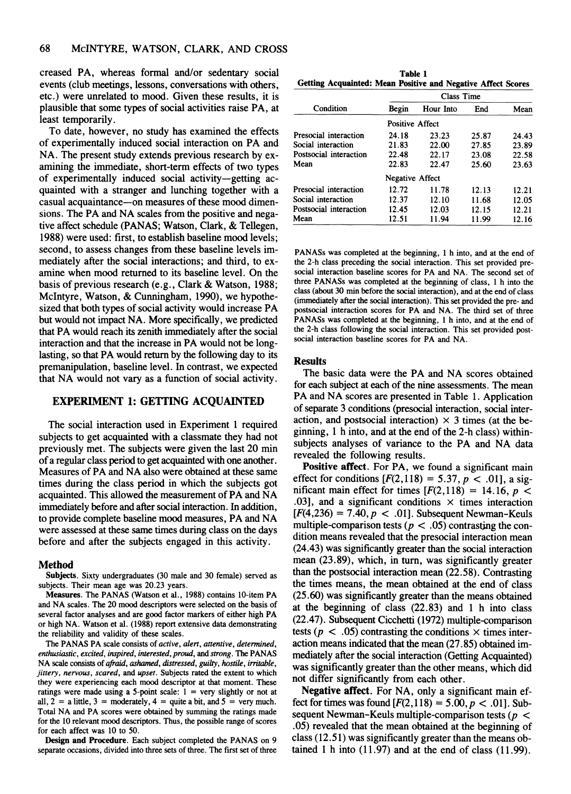creased PA, whereas formal and/or sedentary social events (club meetings, lessons, conversations with others, etc.) were unrelated to mood. Given these results, it is plausible that some types of social activities raise PA, at least temporarily.

To date, however, no study has examined the effects of experimentally induced social interaction on PA and NA. The present study extends previous research by examining the immediate, short-term effects of two types of experimentally induced social activity-getting acquainted with a stranger and lunching together with a casual acquaintance-on measures of these mood dimensions. The PA and NA scales from the positive and negative affect schedule (PANAS; Watson, Clark, & Tellegen, 1988) were used: first, to establish baseline mood levels; second, to assess changes from these baseline levels immediately after the social interactions; and third, to examine when mood returned to its baseline level. On the basis of previous research (e.g., Clark & Watson, 1988; Mcintyre, Watson, & Cunningham, 1990), we hypothesized that both types of social activity would increase PA but would not impact NA. More specifically, we predicted that PA would reach its zenith immediately after the social interaction and that the increase in PA would not be longlasting, so that PA would return by the following day to its premanipulation, baseline level. In contrast, we expected that NA would not vary as a function of social activity.

## EXPERIMENT 1: GETTING ACQUAINTED

The social interaction used in Experiment 1 required subjects to get acquainted with a classmate they had not previously met. The subjects were given the last 20 min of a regular class period to get acquainted with one another. Measures of PA and NA also were obtained at these same times during the class period in which the subjects got acquainted. This allowed the measurement of PA and NA immediately before and after social interaction. In addition, to provide complete baseline mood measures, PA and NA were assessed at these same times during class on the days before and after the subjects engaged in this activity.

## Method

Subjects. Sixty undergraduates (30 male and 30 female) served as subjects. Their mean age was 20.23 years.

Measures. The PANAS (Watson et al., 1988) contains lO-item PA and NA scales. The 20 mood descriptors were selected on the basis of several factor analyses and are good factor markers of either high PA or high NA. Watson et al. (1988) report extensive data demonstrating the reliability and validity of these scales.

The PANAS PA scale consists of *active, alert, anentive, detennined, enthusiastic, excited, inspired, interested, proud,* and *strong.* 'The PANAS NA scale consists of *afraid, ashamed, distressed, guilty, hostile, irritable, jinery, nervous, scared,* and *upset.* Subjects rated the extent to which they were experiencing each mood descriptor at that moment. These ratings were made using a 5-point scale:  $1 = \text{very slightly or not at}$ all,  $2 = a$  little,  $3 =$  moderately,  $4 =$  quite a bit, and  $5 =$  very much. Total NA and PA scores were obtained by summing the ratings made for the 10 relevant mood descriptors. Thus, the possible range of scores for each affect was 10 to 50.

Design and Procedure. Each subject completed the PANAS on 9 separate occasions, divided into three sets of three. The first set of three

Table 1 Getting Acquainted: Mean Positive and Negative Affect Scores

|                        | Class Time             |           |       |       |  |  |
|------------------------|------------------------|-----------|-------|-------|--|--|
| Condition              | Begin                  | Hour Into | End   | Mean  |  |  |
|                        | <b>Positive Affect</b> |           |       |       |  |  |
| Presocial interaction  | 24.18                  | 23.23     | 25.87 | 24.43 |  |  |
| Social interaction     | 21.83                  | 22.00     | 27.85 | 23.89 |  |  |
| Postsocial interaction | 22.48                  | 22.17     | 23.08 | 22.58 |  |  |
| Mean                   | 22.83                  | 22.47     | 25.60 | 23.63 |  |  |
|                        | <b>Negative Affect</b> |           |       |       |  |  |
| Presocial interaction  | 12.72                  | 11.78     | 12.13 | 12.21 |  |  |
| Social interaction     | 12.37                  | 12.10     | 11.68 | 12.05 |  |  |
| Postsocial interaction | 12.45                  | 12.03     | 12.15 | 12.21 |  |  |
| Mean                   | 12.51                  | 11.94     | 11.99 | 12.16 |  |  |

PANASs was completed at the beginning, I h into, and at the end of the 2-h class preceding the social interaction. This set provided presocial interaction baseline scores for PA and NA. The second set of three PANASs was completed at the beginning of class, I h into the class (about 30 min before the social interaction), and at the end of class (immediately after the social interaction). This set provided the pre- and postsocial interaction scores for PA and NA. The third set of three PANASs was completed at the beginning, I h into, and at the end of the 2-h class following the social interaction. This set provided postsocial interaction baseline scores for PA and NA.

### Results

The basic data were the PA and NA scores obtained for each subject at each of the nine assessments. The mean PA and NA scores are presented in Table 1. Application of separate 3 conditions (presocial interaction, social interaction, and postsocial interaction)  $\times$  3 times (at the beginning, 1 h into, and at the end of the 2-h class) withinsubjects analyses of variance to the PA and NA data revealed the following results.

Positive affect. For PA, we found a significant main effect for conditions  $[F(2,118) = 5.37, p < .01]$ , a significant main effect for times  $[F(2,118) = 14.16, p <$ .03], and a significant conditions  $\times$  times interaction  $[F(4,236) = 7.40, p < .01]$ . Subsequent Newman-Keuls multiple-comparison tests ( $p < .05$ ) contrasting the condition means revealed that the presocial interaction mean (24.43) was significantly greater than the social interaction mean (23.89), which, in tum, was significantly greater than the postsocial interaction mean (22.58). Contrasting the times means, the mean obtained at the end of class (25.60) was significantly greater than the means obtained at the beginning of class (22.83) and 1 h into class (22.47). Subsequent Cicchetti (1972) multiple-comparison tests ( $p < .05$ ) contrasting the conditions  $\times$  times interaction means indicated that the mean (27.85) obtained immediately after the social interaction (Getting Acquainted) was significantly greater than the other means, which did not differ significantly from each other.

Negative affect. For NA, only a significant main effect for times was found  $[F(2,118) = 5.00, p < .01]$ . Subsequent Newman-Keuls multiple-comparison tests (p *<*  .05) revealed that the mean obtained at the beginning of class (12.51) was significantly greater than the means obtained 1 h into (11.97) and at the end of class (11.99).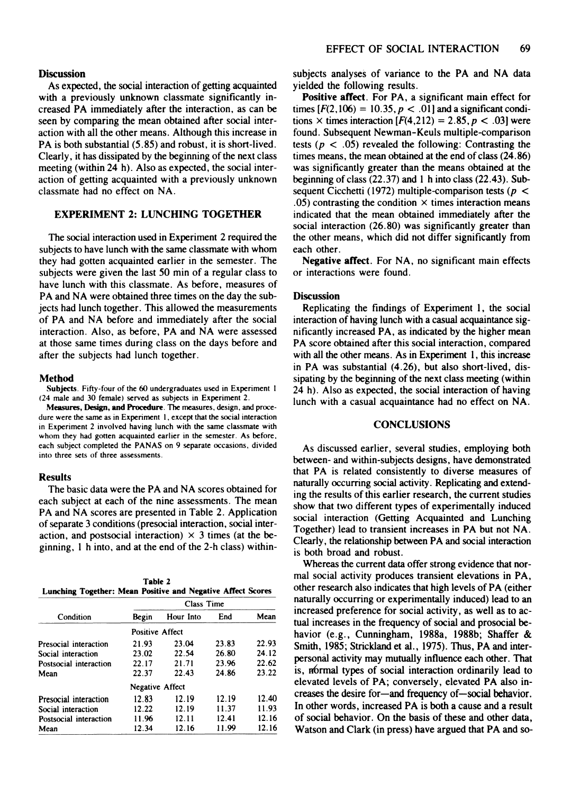## **Discussion**

As expected, the social interaction of getting acquainted with a previously unknown classmate significantly increased PA immediately after the interaction, as can be seen by comparing the mean obtained after social interaction with all the other means. Although this increase in PA is both substantial (5.85) and robust, it is short-lived. Clearly, it has dissipated by the beginning of the next class meeting (within 24 h). Also as expected, the social interaction of getting acquainted with a previously unknown classmate had no effect on NA.

# EXPERIMENT 2: LUNCHING TOGETHER

The social interaction used in Experiment 2 required the subjects to have lunch with the same classmate with whom they had gotten acquainted earlier in the semester. The subjects were given the last 50 min of a regular class to have lunch with this classmate. As before, measures of PA and NA were obtained three times on the day the subjects had lunch together. This allowed the measurements of PA and NA before and immediately after the social interaction. Also, as before, PA and NA were assessed at those same times during class on the days before and after the subjects had lunch together.

#### Method

Subjects. Fifty-four of the 60 undergraduates used in Experiment 1 (24 male and 30 female) served as subjects in Experiment 2.

Measures, Design, and Procedure. The measures, design, and procedure were the same as in Experiment I. except that the social interaction in Experiment 2 involved having lunch with the same classmate with whom they had gotten acquainted earlier in the semester. As before, each subject completed the PANAS on 9 separate occasions. divided into three sets of three assessments.

## Results

The basic data were the PA and NA scores obtained for each subject at each of the nine assessments. The mean PA and NA scores are presented in Table 2. Application of separate 3 conditions (presocial interaction, social interaction, and postsocial interaction)  $\times$  3 times (at the beginning, I h into, and at the end of the 2-h class) within-

|                                                             |  | Table 2 |  |  |
|-------------------------------------------------------------|--|---------|--|--|
| Lunching Together: Mean Positive and Negative Affect Scores |  |         |  |  |

|                        | Class Time             |           |       |       |  |  |
|------------------------|------------------------|-----------|-------|-------|--|--|
| Condition              | Begin                  | Hour Into | End   | Mean  |  |  |
|                        | <b>Positive Affect</b> |           |       |       |  |  |
| Presocial interaction  | 21.93                  | 23.04     | 23.83 | 22.93 |  |  |
| Social interaction     | 23.02                  | 22.54     | 26.80 | 24.12 |  |  |
| Postsocial interaction | 22.17                  | 21.71     | 23.96 | 22.62 |  |  |
| Mean                   | 22.37                  | 22.43     | 24.86 | 23.22 |  |  |
|                        | <b>Negative Affect</b> |           |       |       |  |  |
| Presocial interaction  | 12.83                  | 12.19     | 12.19 | 12.40 |  |  |
| Social interaction     | 12.22                  | 12.19     | 11.37 | 11.93 |  |  |
| Postsocial interaction | 11.96                  | 12.11     | 12.41 | 12.16 |  |  |
| Mean                   | 12.34                  | 12.16     | 11.99 | 12.16 |  |  |

subjects analyses of variance to the PA and NA data yielded the following results.

Positive affect. For PA, a significant main effect for times  $[F(2, 106) = 10.35, p < .01]$  and a significant conditions  $\times$  times interaction  $[F(4,212) = 2.85, p < .03]$  were found. Subsequent Newman-Keuls multiple-comparison tests ( $p < .05$ ) revealed the following: Contrasting the times means, the mean obtained at the end of class (24.86) was significantly greater than the means obtained at the beginning of class (22.37) and I h into class (22.43). Subsequent Cicchetti (1972) multiple-comparison tests ( $p <$ .05) contrasting the condition  $\times$  times interaction means indicated that the mean obtained immediately after the social interaction (26.80) was significantly greater than the other means, which did not differ significantly from each other.

Negative affect. For NA, no significant main effects or interactions were found.

### **Discussion**

Replicating the findings of Experiment I, the social interaction of having lunch with a casual acquaintance significantly increased PA, as indicated by the higher mean PA score obtained after this social interaction, compared with all the other means. As in Experiment I, this increase in PA was substantial (4.26), but also short-lived, dissipating by the beginning of the next class meeting (within 24 h). Also as expected, the social interaction of having lunch with a casual acquaintance had no effect on NA.

## **CONCLUSIONS**

As discussed earlier, several studies, employing both between- and within-subjects designs, have demonstrated that PA is related consistently to diverse measures of naturally occurring social activity. Replicating and extending the results of this earlier research, the current studies show that two different types of experimentally induced social interaction (Getting Acquainted and Lunching Together) lead to transient increases in PA but not NA. Clearly, the relationship between PA and social interaction is both broad and robust.

Whereas the current data offer strong evidence that normal social activity produces transient elevations in PA, other research also indicates that high levels of PA (either naturally occurring or experimentally induced) lead to an increased preference for social activity, as well as to actual increases in the frequency of social and prosocial behavior (e.g., Cunningham, 1988a, 1988b; Shaffer & Smith, 1985; Strickland et al., 1975). Thus, PA and interpersonaI activity may mutually influence each other. That is, n6rrnal types of social interaction ordinarily lead to elevated levels of PA; conversely, elevated PA also increases the desire for-and frequency of-social behavior. In other words, increased PA is both a cause and a result of social behavior. On the basis of these and other data, Watson and Clark (in press) have argued that PA and so